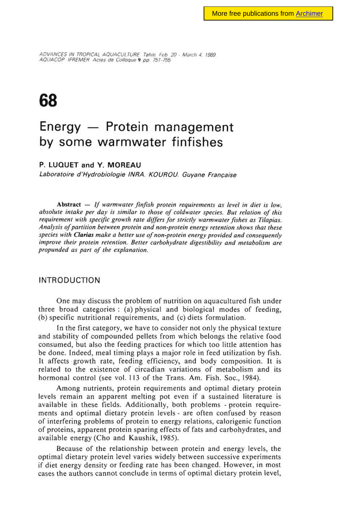ADVANCES IN TROPICAL AQUACULTURE Tahiti. Feb 20 - March 4. 1989. AQUA COP IFREMER Acres de Colloque 9 pp. 751-755

# **68**

# **Energy — Protein management by some warmwater finfishes**

# **P. LUQUET and Y. MOREAU**

Laboratoire d'Hydrobiologie INRA. KOUROU. Guyane Française

Abstract  $-$  If warmwater finfish protein requirements as level in diet is low, absolute intake per day is similar to those of coldwater species. But relation of this requirement with specific growth rate differs for strictly warmwater fishes as Tilapias. Analysis of partition between protein and non-protein energy retention shows that these species with Clarias make a better use of non-protein energy provided and consequently improve their protein retention. Better carbohydrate digestibility and metabolism are propunded as part of the explanation.

# **INTRODUCTION**

One may discuss the problem of nutrition on aquacultured fish under three broad categories : (a) physical and biological modes of feeding, (b) specific nutritional requirements, and (c) diets formulation.

In the first category, we have to consider not only the physical texture and stability of compounded pellets from which belongs the relative food consumed, but also the feeding practices for which too little attention has be done. Indeed, meal timing plays a major role in feed utilization by fish. It affects growth rate, feeding efficiency, and body composition. It is related to the existence of circadian variations of metabolism and its hormonal control (see vol. 113 of the Trans. Am. Fish. Soc., 1984).

Among nutrients, protein requirements and optimal dietary protein levels remain an apparent melting pot even if a sustained literature is available in these fields. Additionally, both problems - protein requirements and optimal dietary protein levels - are often confused by reason of interfering problems of protein to energy relations, calorigenic function of proteins, apparent protein sparing effects of fats and carbohydrates, and available energy (Cho and Kaushik, 1985).

Because of the relationship between protein and energy levels, the optimal dietary protein level varies widely between successive experiments if diet energy density or feeding rate has been changed. However, in most cases the authors cannot conclude in terms of optimal dietary protein level,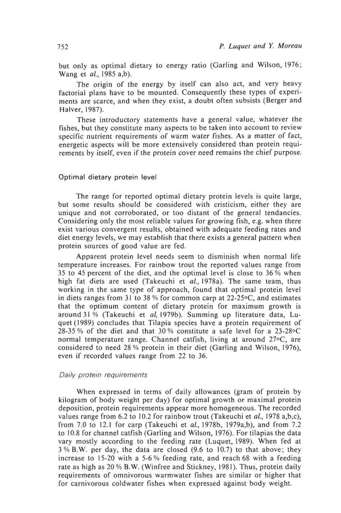but only as optimal dietary to energy ratio (Garling and Wilson, 1976; Wang et al., 1985 a,b).

The origin of the energy by itself can also act, and very heavy factorial plans have to be mounted. Consequently these types of experiments are scarce, and when they exist, a doubt often subsists (Berger and Halver, 1987).

These introductory statements have a general value, whatever the fishes, but they constitute many aspects to be taken into account to review specific nutrient requirements of warm water fishes. As a matter of fact, energetic aspects will be more extensively considered than protein requirements by itself, even if the protein cover need remains the chief purpose.

### Optimal dietary protein level

The range for reported optimal dietary protein levels is quite large, but some results should be considered with cristicism, either they are unique and not corroborated, or too distant of the general tendancies. Considering only the most reliable values for growing fish, e.g. when there exist various convergent results, obtained with adequate feeding rates and diet energy levels, we may establish that there exists a general pattern when protein sources of good value are fed.

Apparent protein level needs seem to disminish when normal life temperature increases. For rainbow trout the reported values range from 35 to 45 percent of the diet, and the optimal level is close to 36 % when high fat diets are used (Takeuchi et al., 1978a). The same team, thus working in the same type of approach, found that optimal protein level in diets ranges from 31 to 38 % for common carp at 22-25 $\circ$ C, and estimates that the optimum content of dietary protein for maximum growth is around 31 % (Takeuchi et al, 1979b). Summing up literature data, Luquet (1989) concludes that Tilapia species have a protein requirement of 28-35 % of the diet and that 30 % constitute a safe level for a 23-28°C normal temperature range. Channel catfish, living at around 27°C, are considered to need 28 % protein in their diet (Garling and Wilson, 1976), even if recorded values range from 22 to 36.

#### Daily protein requirements

When expressed in terms of daily allowances (gram of protein by kilogram of body weight per day) for optimal growth or maximal protein deposition, protein requirements appear more homogeneous. The recorded values range from 6.2 to 10.2 for rainbow trout (Takeuchi et al., 1978 a,b,c), from 7.0 to 12.1 for carp (Takeuchi et al., 1978b, 1979a,b), and from 7.2 to 10.8 for channel catfish (Garling and Wilson, 1976). For tilapias the data vary mostly according to the feeding rate (Luquet, 1989). When fed at 3 % B.W. per day, the data are closed (9.6 to 10.7) to that above; they increase to 15-20 with a 5-6 % feeding rate, and reach 68 with a feeding rate as high as 20 % B.W. (Winfree and Stickney, 1981). Thus, protein daily requirements of omnivorous warmwater fishes are similar or higher that for carnivorous coldwater fishes when expressed against body weight.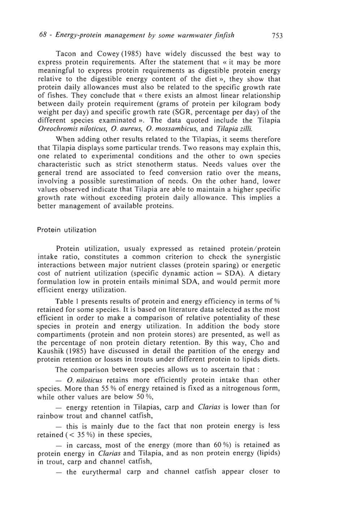Tacon and Cowey (1985) have widely discussed the best way to express protein requirements. After the statement that « it may be more meaningful to express protein requirements as digestible protein energy relative to the digestible energy content of the diet », they show that protein daily allowances must also be related to the specific growth rate of fishes. They conclude that « there exists an almost linear relationship between daily protein requirement (grams of protein per kilogram body weight per day) and specific growth rate (SGR, percentage per day) of the different species examinated ». The data quoted include the Tilapia Oreochromis niloticus, O. aureus, O. mossambicus, and Tilapia zilli.

When adding other results related to the Tilapias, it seems therefore that Tilapia displays some particular trends. Two reasons may explain this, one related to experimental conditions and the other to own species characteristic such as strict stenotherm status. Needs values over the general trend are associated to feed conversion ratio over the means, involving a possible surestimation of needs. On the other hand, lower values observed indicate that Tilapia are able to maintain a higher specific growth rate without exceeding protein daily allowance. This implies a better management of available proteins.

#### Protein utilization

Protein utilization, usualy expressed as retained protein/protein intake ratio, constitutes a common criterion to check the synergistic interactions between major nutrient classes (protein sparing) or energetic cost of nutrient utilization (specific dynamic action = SDA). A dietary formulation low in protein entails minimal SDA, and would permit more efficient energy utilization.

Table 1 presents results of protein and energy efficiency in terms of % retained for some species. It is based on literature data selected as the most efficient in order to make a comparison of relative potentiality of these species in protein and energy utilization. In addition the body store compartiments (protein and non protein stores) are presented, as well as the percentage of non protein dietary retention. By this way, Cho and Kaushik (1985) have discussed in detail the partition of the energy and protein retention or losses in trouts under different protein to lipids diets.

The comparison between species allows us to ascertain that :

 $-$  O. niloticus retains more efficiently protein intake than other species. More than 55 % of energy retained is fixed as a nitrogenous form, while other values are below 50 %,

— energy retention in Tilapias, carp and Clarias is lower than for rainbow trout and channel catfish,

— this is mainly due to the fact that non protein energy is less retained  $(< 35\%$ ) in these species,

— in carcass, most of the energy (more than 60 %) is retained as protein energy in *Clarias* and Tilapia, and as non protein energy (lipids) in trout, carp and channel catfish,

— the eurythermal carp and channel catfish appear closer to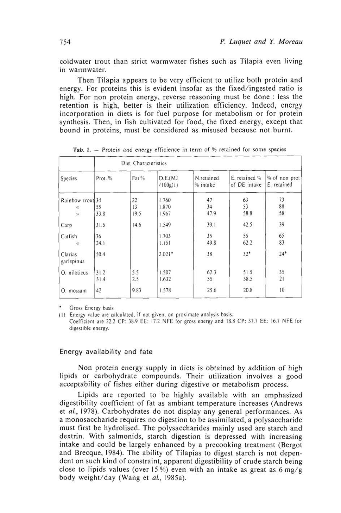coldwater trout than strict warmwater fishes such as Tilapia even living in warmwater.

Then Tilapia appears to be very efficient to utilize both protein and energy. For proteins this is evident insofar as the fixed/ingested ratio is high. For non protein energy, reverse reasoning must be done : less the retention is high, better is their utilization efficiency. Indeed, energy incorporation in diets is for fuel purpose for metabolism or for protein synthesis. Then, in fish cultivated for food, the fixed energy, except that bound in proteins, must be considered as misused because not burnt.

| Species                    | Diet Characteristics |       |                       |                        |                                     |                              |
|----------------------------|----------------------|-------|-----------------------|------------------------|-------------------------------------|------------------------------|
|                            | Prot. %              | Fat % | D.E.(MJ)<br>(100g(1)) | N.retained<br>% intake | $E$ , retained $\%$<br>of DE intake | % of non prot<br>E. retained |
| Rainbow trout 34           |                      | 22    | 1.760                 | 47                     | 63                                  | 73                           |
| $\alpha$                   | 55                   | 13    | 1.870                 | 34                     | 53                                  | 88                           |
| $\eta$                     | 33.8                 | 19.5  | 1.967                 | 47.9                   | 58.8                                | 58                           |
| Carp                       | 31.5                 | 14.6  | 1.549                 | 39.1                   | 42.5                                | 39                           |
| Catfish                    | 36                   |       | 1.703                 | 35                     | 55                                  | 65                           |
| $\boldsymbol{\mathcal{D}}$ | 24.1                 |       | 1.151                 | 49.8                   | 62.2                                | 83                           |
| Clarias<br>gariepinus      | 50.4                 |       | $2.021*$              | 38                     | $32*$                               | $24*$                        |
| O. niloticus               | 31.2                 | 5.5   | 1.507                 | 62.3                   | 51.5                                | 35                           |
|                            | 31.4                 | 2.5   | 1.632                 | 55                     | 38.5                                | 21                           |
| 0.<br>mossam               | 42                   | 9.83  | 1.578                 | 25.6                   | 20.8                                | 10                           |

Tab. 1. - Protein and energy efficience in term of % retained for some species

\* Gross Energy basis

(I) Energy value are calculated, if not given, on proximate analysis basis. Coefficient are 22.2 CP: 38.9 EE: 17.2 NFE for gross energy and 18.8 CP: 37.7 EE; 16.7 NFE for digestible energy.

# Energy availability and fate

Non protein energy supply in diets is obtained by addition of high lipids or carbohydrate compounds. Their utilization involves a good acceptability of fishes either during digestive or metabolism process.

Lipids are reported to be highly available with an emphasized digestibility coefficient of fat as ambiant temperature increases (Andrews et al., 1978). Carbohydrates do not display any general performances. As a monosaccharide requires no digestion to be assimilated, a polysaccharide must first be hydrolised. The polysaccharides mainly used are starch and dextrin. With salmonids, starch digestion is depressed with increasing intake and could be largely enhanced by a precooking treatment (Bergot and Brecque, 1984). The ability of Tilapias to digest starch is not dependent on such kind of constraint, apparent digestibility of crude starch being close to lipids values (over 15 %) even with an intake as great as 6 mg/g body weight/day (Wang et al., 1985a).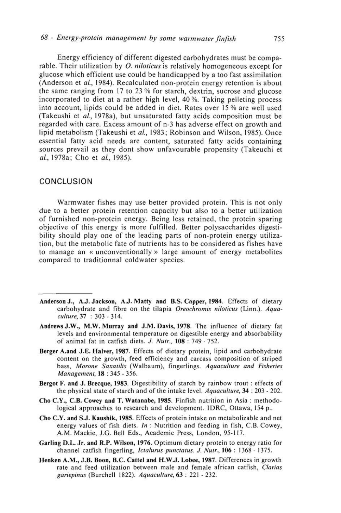# 68 - Energy-protein management by some warmwater finfish 755

Energy efficiency of different digested carbohydrates must be comparable. Their utilization by *O. niloticus* is relatively homogeneous except for glucose which efficient use could be handicapped by a too fast assimilation (Anderson et al., 1984). Recalculated non-protein energy retention is about the same ranging from 17 to 23 % for starch, dextrin, sucrose and glucose incorporated to diet at a rather high level, 40 %. Taking pelleting process into account, lipids could be added in diet. Rates over 15 % are well used (Takeushi et al., 1978a), but unsaturated fatty acids composition must be regarded with care. Excess amount of n-3 has adverse effect on growth and lipid metabolism (Takeushi et al., 1983; Robinson and Wilson, 1985). Once essential fatty acid needs are content, saturated fatty acids containing sources prevail as they dont show unfavourable propensity (Takeuchi et al., 1978a; Cho et al., 1985).

# CONCLUSION

Warmwater fishes may use better provided protein. This is not only due to a better protein retention capacity but also to a better utilization of furnished non-protein energy. Being less retained, the protein sparing objective of this energy is more fulfilled. Better polysaccharides digestibility should play one of the leading parts of non-protein energy utilization, but the metabolic fate of nutrients has to be considered as fishes have to manage an « unconventionally » large amount of energy metabolites compared to traditionnal coldwater species.

- **Anderson J., A.J. Jackson, A.J. Matty and B.S. Capper, 1984.** Effects of dietary carbohydrate and fibre on the tilapia Oreochromis niloticus (Linn.). Aquaculture, 37 : 303 - 314.
- **Andrews J.W., M.W. Murray and J.M. Davis,** 1978. The influence of dietary fat levels and environmental temperature on digestible energy and absorbability of animal fat in catfish diets. J. Nutr., 108 : 749 - 752.
- **Berger A.and J.E. Halver,** 1987. Effects of dietary protein, lipid and carbohydrate content on the growth, feed efficiency and carcass composition of striped bass, Morone Saxatilis (Walbaum), fingerlings. Aquaculture and Fisheries Management, 18 : 345 - 356.
- **Bergot** F. and J. Brecque, 1983. Digestibility of starch by rainbow trout : effects of the physical state of starch and of the intake level. Aquaculture, 34 : 203 - 202.
- Cho C.Y., **C.B.** Cowey and **T. Watanabe, 1985.** Finfish nutrition in Asia : methodological approaches to research and development. IDRC, Ottawa, 154 p..
- Cho C.Y. and S.J. **Kaushik, 1985.** Effects of protein intake on metabolizable and net energy values of fish diets. In: Nutrition and feeding in fish, C.B. Cowey, A.M. Mackie, J.G. Bell Eds., Academic Press, London, 95-117.
- **Garling D.L. Jr. and R.P. Wilson, 1976.** Optimum dietary protein to energy ratio for channel catfish fingerling, Ictalurus punctatus. J. Nutr., **106 :** 1368 - 1375.
- Henken A.M., J.B. Boon, B.C. Cattel and **H.W.J. Lobee, 1987.** Differences in growth rate and feed utilization between male and female african catfish, Clarias gariepinus (Burchell 1822). Aquaculture, 63 : 221 - 232.